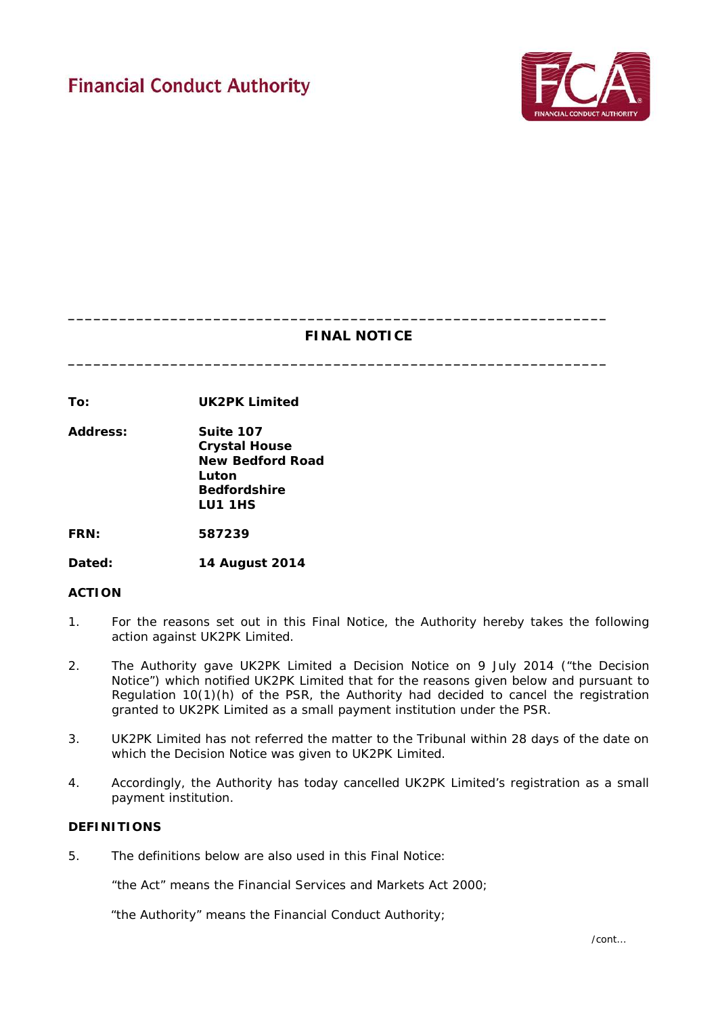

# **FINAL NOTICE**

**\_\_\_\_\_\_\_\_\_\_\_\_\_\_\_\_\_\_\_\_\_\_\_\_\_\_\_\_\_\_\_\_\_\_\_\_\_\_\_\_\_\_\_\_\_\_\_\_\_\_\_\_\_\_\_\_\_\_\_\_\_\_\_**

**\_\_\_\_\_\_\_\_\_\_\_\_\_\_\_\_\_\_\_\_\_\_\_\_\_\_\_\_\_\_\_\_\_\_\_\_\_\_\_\_\_\_\_\_\_\_\_\_\_\_\_\_\_\_\_\_\_\_\_\_\_\_\_**

**To: UK2PK Limited**

**Address: Suite 107 Crystal House New Bedford Road Luton Bedfordshire LU1 1HS**

**FRN: 587239**

**Dated: 14 August 2014**

### **ACTION**

- 1. For the reasons set out in this Final Notice, the Authority hereby takes the following action against UK2PK Limited.
- 2. The Authority gave UK2PK Limited a Decision Notice on 9 July 2014 ("the Decision Notice") which notified UK2PK Limited that for the reasons given below and pursuant to Regulation 10(1)(h) of the PSR, the Authority had decided to cancel the registration granted to UK2PK Limited as a small payment institution under the PSR.
- 3. UK2PK Limited has not referred the matter to the Tribunal within 28 days of the date on which the Decision Notice was given to UK2PK Limited.
- 4. Accordingly, the Authority has today cancelled UK2PK Limited's registration as a small payment institution.

# **DEFINITIONS**

5. The definitions below are also used in this Final Notice:

"the Act" means the Financial Services and Markets Act 2000;

"the Authority" means the Financial Conduct Authority;